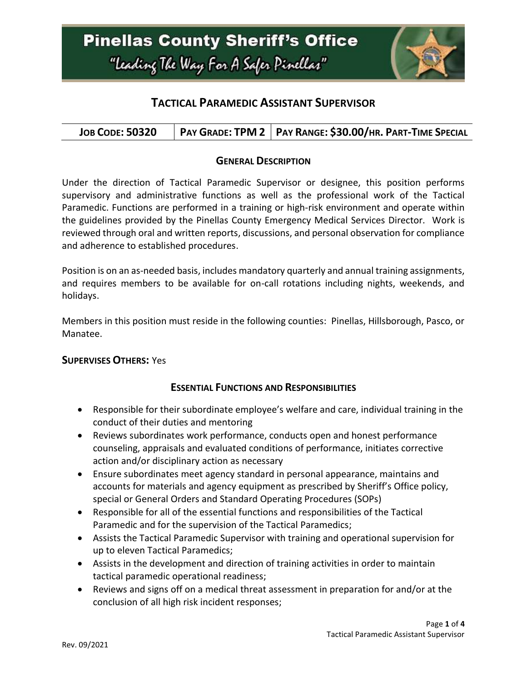

### **TACTICAL PARAMEDIC ASSISTANT SUPERVISOR**

| <b>JOB CODE: 50320</b> |  | PAY GRADE: TPM 2   PAY RANGE: \$30.00/HR. PART-TIME SPECIAL |
|------------------------|--|-------------------------------------------------------------|
|------------------------|--|-------------------------------------------------------------|

### **GENERAL DESCRIPTION**

Under the direction of Tactical Paramedic Supervisor or designee, this position performs supervisory and administrative functions as well as the professional work of the Tactical Paramedic. Functions are performed in a training or high-risk environment and operate within the guidelines provided by the Pinellas County Emergency Medical Services Director. Work is reviewed through oral and written reports, discussions, and personal observation for compliance and adherence to established procedures.

Position is on an as-needed basis, includes mandatory quarterly and annual training assignments, and requires members to be available for on-call rotations including nights, weekends, and holidays.

Members in this position must reside in the following counties: Pinellas, Hillsborough, Pasco, or Manatee.

#### **SUPERVISES OTHERS:** Yes

### **ESSENTIAL FUNCTIONS AND RESPONSIBILITIES**

- Responsible for their subordinate employee's welfare and care, individual training in the conduct of their duties and mentoring
- Reviews subordinates work performance, conducts open and honest performance counseling, appraisals and evaluated conditions of performance, initiates corrective action and/or disciplinary action as necessary
- Ensure subordinates meet agency standard in personal appearance, maintains and accounts for materials and agency equipment as prescribed by Sheriff's Office policy, special or General Orders and Standard Operating Procedures (SOPs)
- Responsible for all of the essential functions and responsibilities of the Tactical Paramedic and for the supervision of the Tactical Paramedics;
- Assists the Tactical Paramedic Supervisor with training and operational supervision for up to eleven Tactical Paramedics;
- Assists in the development and direction of training activities in order to maintain tactical paramedic operational readiness;
- Reviews and signs off on a medical threat assessment in preparation for and/or at the conclusion of all high risk incident responses;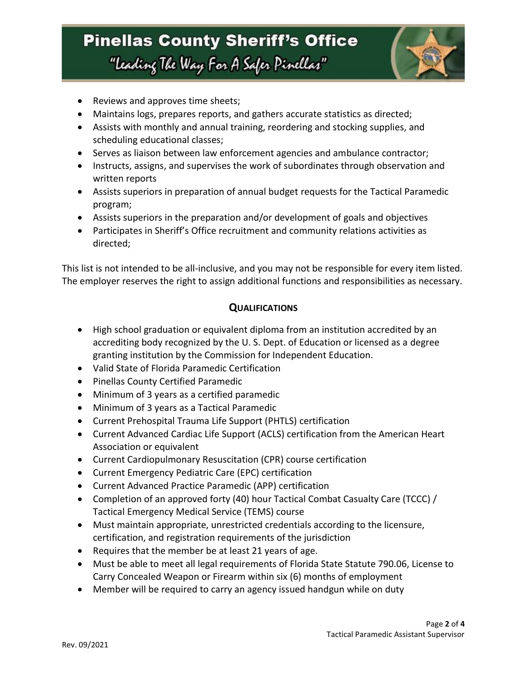## **Pinellas County Sheriff's Office** "Leading The Way For A Safer Pinellar"



- Reviews and approves time sheets;
- Maintains logs, prepares reports, and gathers accurate statistics as directed;
- Assists with monthly and annual training, reordering and stocking supplies, and scheduling educational classes;
- Serves as liaison between law enforcement agencies and ambulance contractor;
- Instructs, assigns, and supervises the work of subordinates through observation and written reports
- Assists superiors in preparation of annual budget requests for the Tactical Paramedic program;
- Assists superiors in the preparation and/or development of goals and objectives
- Participates in Sheriff's Office recruitment and community relations activities as directed;

This list is not intended to be all-inclusive, and you may not be responsible for every item listed. The employer reserves the right to assign additional functions and responsibilities as necessary.

### **QUALIFICATIONS**

- High school graduation or equivalent diploma from an institution accredited by an accrediting body recognized by the U. S. Dept. of Education or licensed as a degree granting institution by the Commission for Independent Education.
- Valid State of Florida Paramedic Certification
- Pinellas County Certified Paramedic
- Minimum of 3 years as a certified paramedic
- Minimum of 3 years as a Tactical Paramedic
- Current Prehospital Trauma Life Support (PHTLS) certification
- Current Advanced Cardiac Life Support (ACLS) certification from the American Heart Association or equivalent
- Current Cardiopulmonary Resuscitation (CPR) course certification
- Current Emergency Pediatric Care (EPC) certification
- Current Advanced Practice Paramedic (APP) certification
- Completion of an approved forty (40) hour Tactical Combat Casualty Care (TCCC) / Tactical Emergency Medical Service (TEMS) course
- Must maintain appropriate, unrestricted credentials according to the licensure, certification, and registration requirements of the jurisdiction
- Requires that the member be at least 21 years of age.
- Must be able to meet all legal requirements of Florida State Statute 790.06, License to Carry Concealed Weapon or Firearm within six (6) months of employment
- Member will be required to carry an agency issued handgun while on duty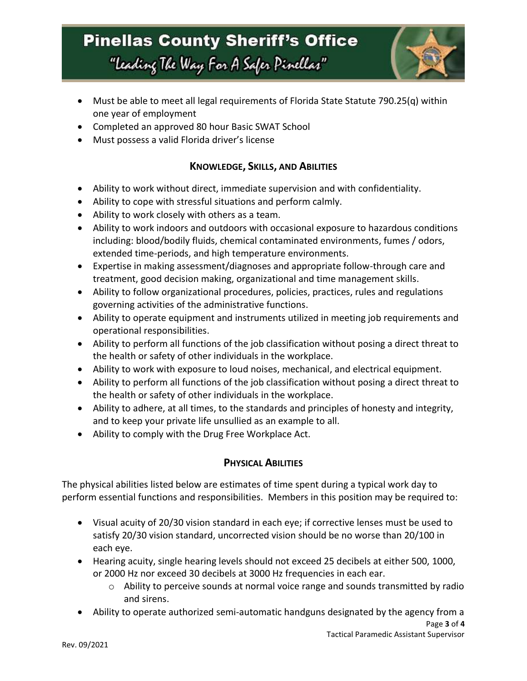# **Pinellas County Sheriff's Office** "Leading The Way For A Safer Pinellar"



- Must be able to meet all legal requirements of Florida State Statute 790.25(q) within one year of employment
- Completed an approved 80 hour Basic SWAT School
- Must possess a valid Florida driver's license

### **KNOWLEDGE, SKILLS, AND ABILITIES**

- Ability to work without direct, immediate supervision and with confidentiality.
- Ability to cope with stressful situations and perform calmly.
- Ability to work closely with others as a team.
- Ability to work indoors and outdoors with occasional exposure to hazardous conditions including: blood/bodily fluids, chemical contaminated environments, fumes / odors, extended time-periods, and high temperature environments.
- Expertise in making assessment/diagnoses and appropriate follow-through care and treatment, good decision making, organizational and time management skills.
- Ability to follow organizational procedures, policies, practices, rules and regulations governing activities of the administrative functions.
- Ability to operate equipment and instruments utilized in meeting job requirements and operational responsibilities.
- Ability to perform all functions of the job classification without posing a direct threat to the health or safety of other individuals in the workplace.
- Ability to work with exposure to loud noises, mechanical, and electrical equipment.
- Ability to perform all functions of the job classification without posing a direct threat to the health or safety of other individuals in the workplace.
- Ability to adhere, at all times, to the standards and principles of honesty and integrity, and to keep your private life unsullied as an example to all.
- Ability to comply with the Drug Free Workplace Act.

### **PHYSICAL ABILITIES**

The physical abilities listed below are estimates of time spent during a typical work day to perform essential functions and responsibilities. Members in this position may be required to:

- Visual acuity of 20/30 vision standard in each eye; if corrective lenses must be used to satisfy 20/30 vision standard, uncorrected vision should be no worse than 20/100 in each eye.
- Hearing acuity, single hearing levels should not exceed 25 decibels at either 500, 1000, or 2000 Hz nor exceed 30 decibels at 3000 Hz frequencies in each ear.
	- o Ability to perceive sounds at normal voice range and sounds transmitted by radio and sirens.
- Ability to operate authorized semi-automatic handguns designated by the agency from a